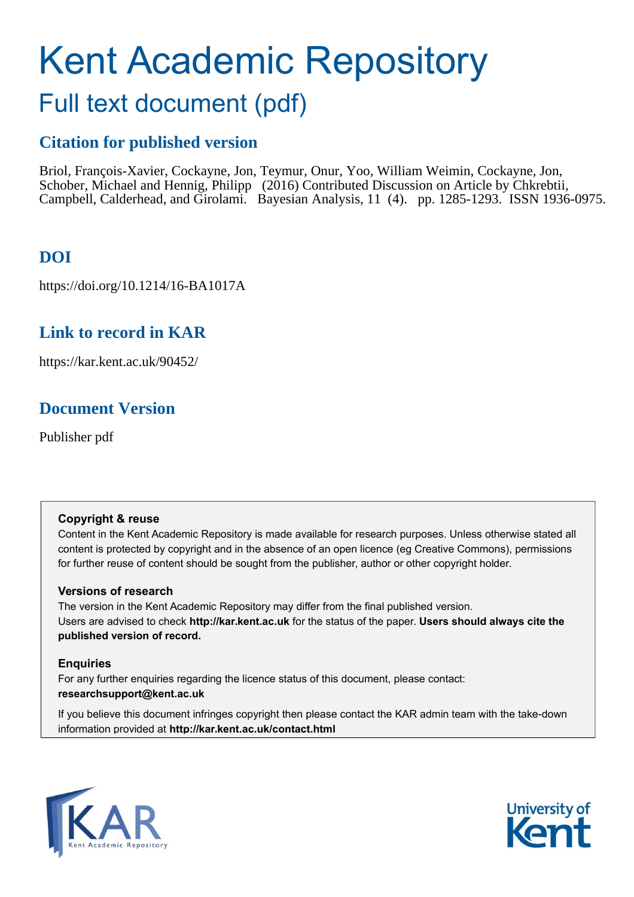# Kent Academic Repository

# Full text document (pdf)

# **Citation for published version**

Briol, François-Xavier, Cockayne, Jon, Teymur, Onur, Yoo, William Weimin, Cockayne, Jon, Schober, Michael and Hennig, Philipp (2016) Contributed Discussion on Article by Chkrebtii, Campbell, Calderhead, and Girolami. Bayesian Analysis, 11 (4). pp. 1285-1293. ISSN 1936-0975.

# **DOI**

https://doi.org/10.1214/16-BA1017A

# **Link to record in KAR**

https://kar.kent.ac.uk/90452/

# **Document Version**

Publisher pdf

## **Copyright & reuse**

Content in the Kent Academic Repository is made available for research purposes. Unless otherwise stated all content is protected by copyright and in the absence of an open licence (eg Creative Commons), permissions for further reuse of content should be sought from the publisher, author or other copyright holder.

## **Versions of research**

The version in the Kent Academic Repository may differ from the final published version. Users are advised to check **http://kar.kent.ac.uk** for the status of the paper. **Users should always cite the published version of record.**

## **Enquiries**

For any further enquiries regarding the licence status of this document, please contact: **researchsupport@kent.ac.uk**

If you believe this document infringes copyright then please contact the KAR admin team with the take-down information provided at **http://kar.kent.ac.uk/contact.html**



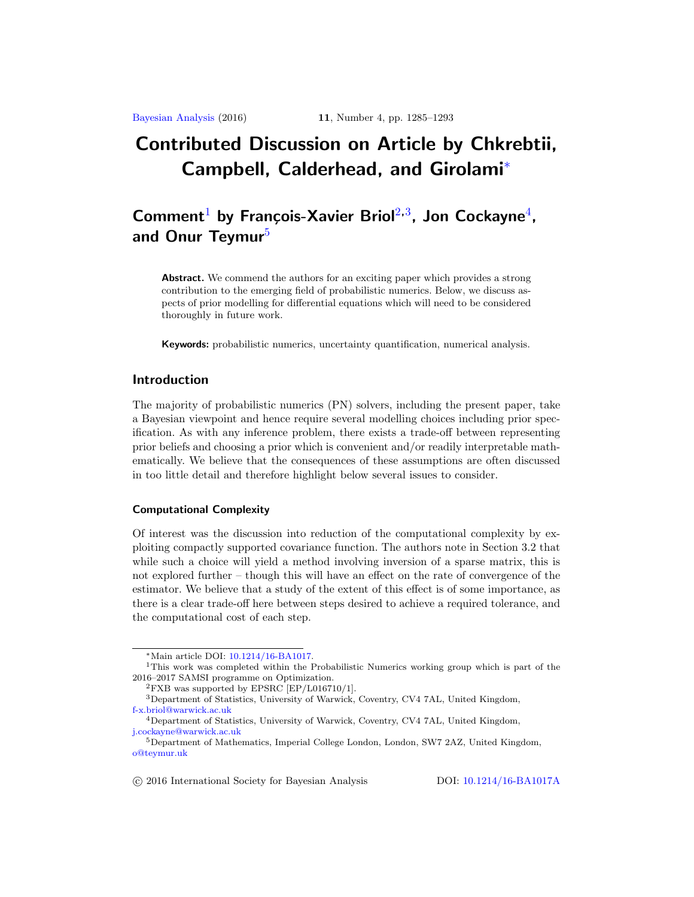# **Contributed Discussion on Article by Chkrebtii, Campbell, Calderhead, and Girolami**<sup>∗</sup>

# **Comment<sup>1</sup> by François-Xavier Briol**<sup>2,3</sup>, Jon Cockayne<sup>4</sup>, and Onur Teymur<sup>5</sup>

**Abstract.** We commend the authors for an exciting paper which provides a strong contribution to the emerging field of probabilistic numerics. Below, we discuss aspects of prior modelling for differential equations which will need to be considered thoroughly in future work.

**Keywords:** probabilistic numerics, uncertainty quantification, numerical analysis.

#### **Introduction**

The majority of probabilistic numerics (PN) solvers, including the present paper, take a Bayesian viewpoint and hence require several modelling choices including prior specification. As with any inference problem, there exists a trade-off between representing prior beliefs and choosing a prior which is convenient and/or readily interpretable mathematically. We believe that the consequences of these assumptions are often discussed in too little detail and therefore highlight below several issues to consider.

#### **Computational Complexity**

Of interest was the discussion into reduction of the computational complexity by exploiting compactly supported covariance function. The authors note in Section 3.2 that while such a choice will yield a method involving inversion of a sparse matrix, this is not explored further – though this will have an effect on the rate of convergence of the estimator. We believe that a study of the extent of this effect is of some importance, as there is a clear trade-off here between steps desired to achieve a required tolerance, and the computational cost of each step.

<sup>∗</sup>Main article DOI: [10.1214/16-BA1017.](http://dx.doi.org/10.1214/16-BA1017)

<sup>1</sup>This work was completed within the Probabilistic Numerics working group which is part of the 2016–2017 SAMSI programme on Optimization.

 ${}^{2}$ FXB was supported by EPSRC [EP/L016710/1].

<sup>3</sup>Department of Statistics, University of Warwick, Coventry, CV4 7AL, United Kingdom, [f-x.briol@warwick.ac.uk](mailto:f-x.briol@warwick.ac.uk)

<sup>4</sup>Department of Statistics, University of Warwick, Coventry, CV4 7AL, United Kingdom, [j.cockayne@warwick.ac.uk](mailto:j.cockayne@warwick.ac.uk)

<sup>5</sup>Department of Mathematics, Imperial College London, London, SW7 2AZ, United Kingdom, [o@teymur.uk](mailto:o@teymur.uk)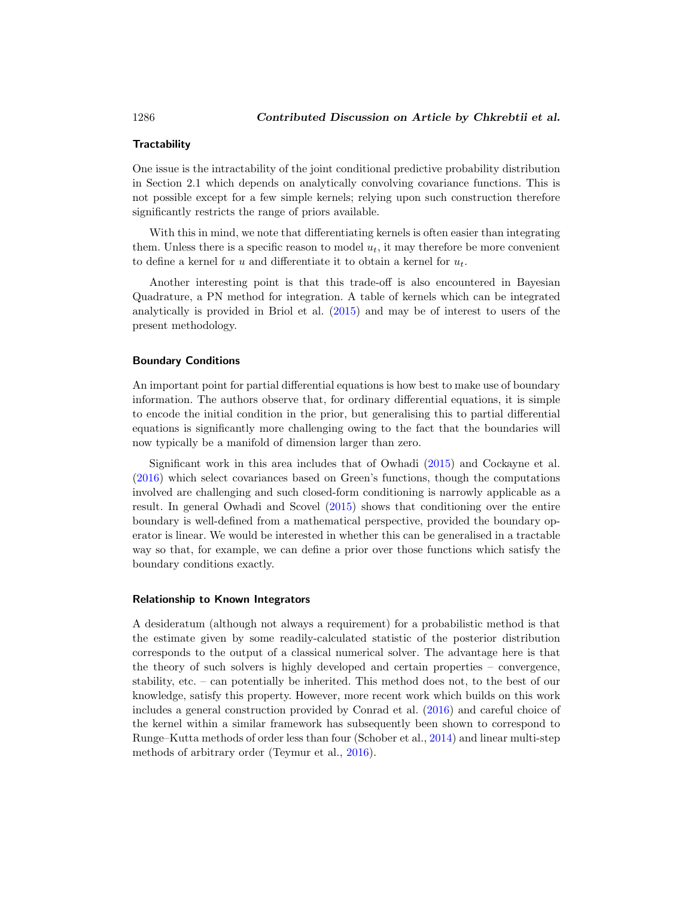#### **Tractability**

One issue is the intractability of the joint conditional predictive probability distribution in Section 2.1 which depends on analytically convolving covariance functions. This is not possible except for a few simple kernels; relying upon such construction therefore significantly restricts the range of priors available.

With this in mind, we note that differentiating kernels is often easier than integrating them. Unless there is a specific reason to model  $u_t$ , it may therefore be more convenient to define a kernel for u and differentiate it to obtain a kernel for  $u_t$ .

Another interesting point is that this trade-off is also encountered in Bayesian Quadrature, a PN method for integration. A table of kernels which can be integrated analytically is provided in Briol et al. (2015) and may be of interest to users of the present methodology.

#### **Boundary Conditions**

An important point for partial differential equations is how best to make use of boundary information. The authors observe that, for ordinary differential equations, it is simple to encode the initial condition in the prior, but generalising this to partial differential equations is significantly more challenging owing to the fact that the boundaries will now typically be a manifold of dimension larger than zero.

Significant work in this area includes that of Owhadi (2015) and Cockayne et al. (2016) which select covariances based on Green's functions, though the computations involved are challenging and such closed-form conditioning is narrowly applicable as a result. In general Owhadi and Scovel (2015) shows that conditioning over the entire boundary is well-defined from a mathematical perspective, provided the boundary operator is linear. We would be interested in whether this can be generalised in a tractable way so that, for example, we can define a prior over those functions which satisfy the boundary conditions exactly.

#### **Relationship to Known Integrators**

A desideratum (although not always a requirement) for a probabilistic method is that the estimate given by some readily-calculated statistic of the posterior distribution corresponds to the output of a classical numerical solver. The advantage here is that the theory of such solvers is highly developed and certain properties – convergence, stability, etc. – can potentially be inherited. This method does not, to the best of our knowledge, satisfy this property. However, more recent work which builds on this work includes a general construction provided by Conrad et al. (2016) and careful choice of the kernel within a similar framework has subsequently been shown to correspond to Runge–Kutta methods of order less than four (Schober et al., 2014) and linear multi-step methods of arbitrary order (Teymur et al., 2016).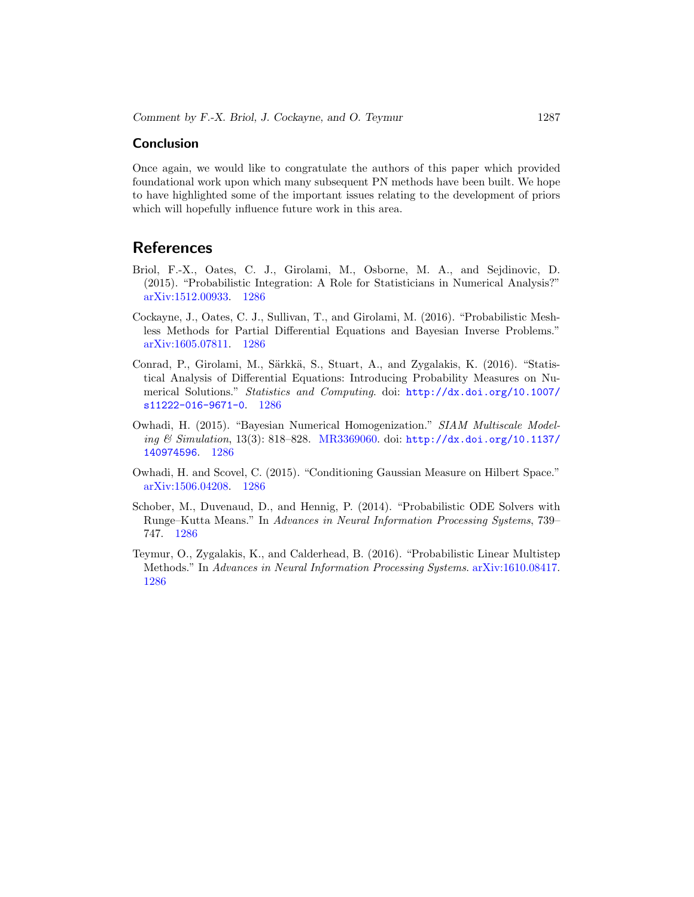#### **Conclusion**

Once again, we would like to congratulate the authors of this paper which provided foundational work upon which many subsequent PN methods have been built. We hope to have highlighted some of the important issues relating to the development of priors which will hopefully influence future work in this area.

- Briol, F.-X., Oates, C. J., Girolami, M., Osborne, M. A., and Sejdinovic, D. (2015). "Probabilistic Integration: A Role for Statisticians in Numerical Analysis?" [arXiv:1512.00933.](http://arxiv.org/abs/arXiv:1512.00933) 1286
- Cockayne, J., Oates, C. J., Sullivan, T., and Girolami, M. (2016). "Probabilistic Meshless Methods for Partial Differential Equations and Bayesian Inverse Problems." [arXiv:1605.07811.](http://arxiv.org/abs/arXiv:1605.07811) 1286
- Conrad, P., Girolami, M., Särkkä, S., Stuart, A., and Zygalakis, K. (2016). "Statistical Analysis of Differential Equations: Introducing Probability Measures on Numerical Solutions." Statistics and Computing. doi: [http://dx.doi.org/10.1007/](http://dx.doi.org/10.1007/s11222-016-9671-0) [s11222-016-9671-0](http://dx.doi.org/10.1007/s11222-016-9671-0). 1286
- Owhadi, H. (2015). "Bayesian Numerical Homogenization." SIAM Multiscale Modeling  $\mathcal C$  Simulation, 13(3): 818–828. [MR3369060.](http://www.ams.org/mathscinet-getitem?mr=3369060) doi: [http://dx.doi.org/10.1137/](http://dx.doi.org/10.1137/140974596) [140974596](http://dx.doi.org/10.1137/140974596). 1286
- Owhadi, H. and Scovel, C. (2015). "Conditioning Gaussian Measure on Hilbert Space." [arXiv:1506.04208.](http://arxiv.org/abs/arXiv:1506.04208) 1286
- Schober, M., Duvenaud, D., and Hennig, P. (2014). "Probabilistic ODE Solvers with Runge–Kutta Means." In Advances in Neural Information Processing Systems, 739– 747. 1286
- Teymur, O., Zygalakis, K., and Calderhead, B. (2016). "Probabilistic Linear Multistep Methods." In Advances in Neural Information Processing Systems. [arXiv:1610.08417.](http://arxiv.org/abs/arXiv:1610.08417) 1286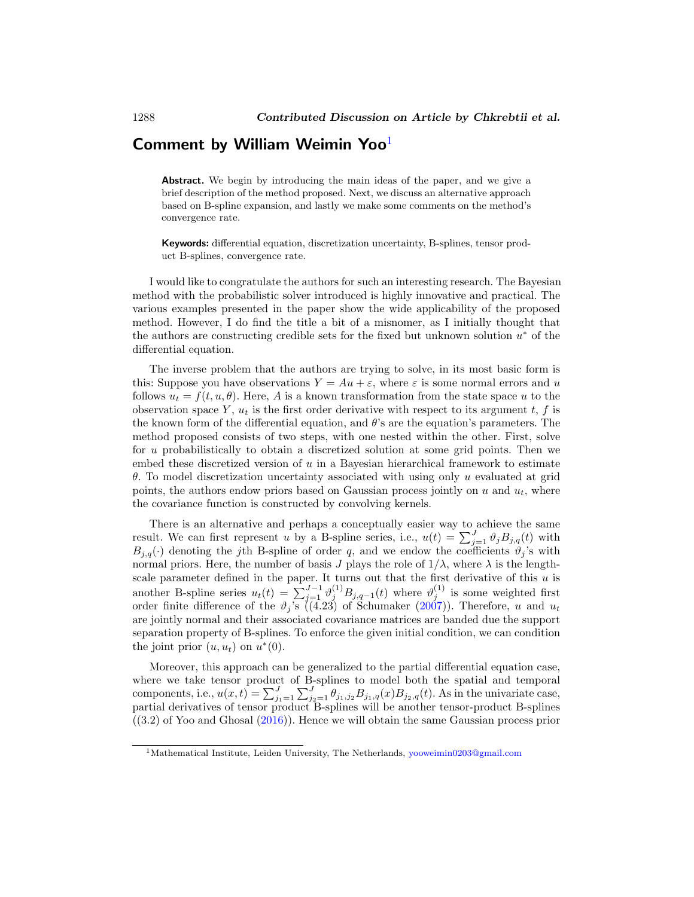# **Comment by William Weimin Yoo**<sup>1</sup>

**Abstract.** We begin by introducing the main ideas of the paper, and we give a brief description of the method proposed. Next, we discuss an alternative approach based on B-spline expansion, and lastly we make some comments on the method's convergence rate.

**Keywords:** differential equation, discretization uncertainty, B-splines, tensor product B-splines, convergence rate.

I would like to congratulate the authors for such an interesting research. The Bayesian method with the probabilistic solver introduced is highly innovative and practical. The various examples presented in the paper show the wide applicability of the proposed method. However, I do find the title a bit of a misnomer, as I initially thought that the authors are constructing credible sets for the fixed but unknown solution  $u^*$  of the differential equation.

The inverse problem that the authors are trying to solve, in its most basic form is this: Suppose you have observations  $Y = Au + \varepsilon$ , where  $\varepsilon$  is some normal errors and u follows  $u_t = f(t, u, \theta)$ . Here, A is a known transformation from the state space u to the observation space Y,  $u_t$  is the first order derivative with respect to its argument t, f is the known form of the differential equation, and  $\theta$ 's are the equation's parameters. The method proposed consists of two steps, with one nested within the other. First, solve for u probabilistically to obtain a discretized solution at some grid points. Then we embed these discretized version of  $u$  in a Bayesian hierarchical framework to estimate θ. To model discretization uncertainty associated with using only u evaluated at grid points, the authors endow priors based on Gaussian process jointly on u and  $u_t$ , where the covariance function is constructed by convolving kernels.

There is an alternative and perhaps a conceptually easier way to achieve the same result. We can first represent u by a B-spline series, i.e.,  $u(t) = \sum_{j=1}^{J} \vartheta_j B_{j,q}(t)$  with  $B_{j,q}(\cdot)$  denoting the j<sup>th</sup> B-spline of order q, and we endow the coefficients  $\vartheta_j$ 's with normal priors. Here, the number of basis J plays the role of  $1/\lambda$ , where  $\lambda$  is the lengthscale parameter defined in the paper. It turns out that the first derivative of this  $u$  is another B-spline series  $u_t(t) = \sum_{j=1}^{J-1} \vartheta_j^{(1)} B_{j,q-1}(t)$  where  $\vartheta_j^{(1)}$  is some weighted first order finite difference of the  $\vartheta_j$ 's ((4.23) of Schumaker (2007)). Therefore, u and  $u_t$ are jointly normal and their associated covariance matrices are banded due the support separation property of B-splines. To enforce the given initial condition, we can condition the joint prior  $(u, u_t)$  on  $u^*(0)$ .

Moreover, this approach can be generalized to the partial differential equation case, where we take tensor product of B-splines to model both the spatial and temporal components, i.e.,  $u(x,t) = \sum_{j_1=1}^{J} \sum_{j_2=1}^{J} \theta_{j_1,j_2} B_{j_1,q}(x) B_{j_2,q}(t)$ . As in the univariate case, partial derivatives of tensor product B-splines will be another tensor-product B-splines  $(3.2)$  of Yoo and Ghosal  $(2016)$ ). Hence we will obtain the same Gaussian process prior

<sup>&</sup>lt;sup>1</sup>Mathematical Institute, Leiden University, The Netherlands, [yooweimin0203@gmail.com](mailto:yooweimin0203@gmail.com)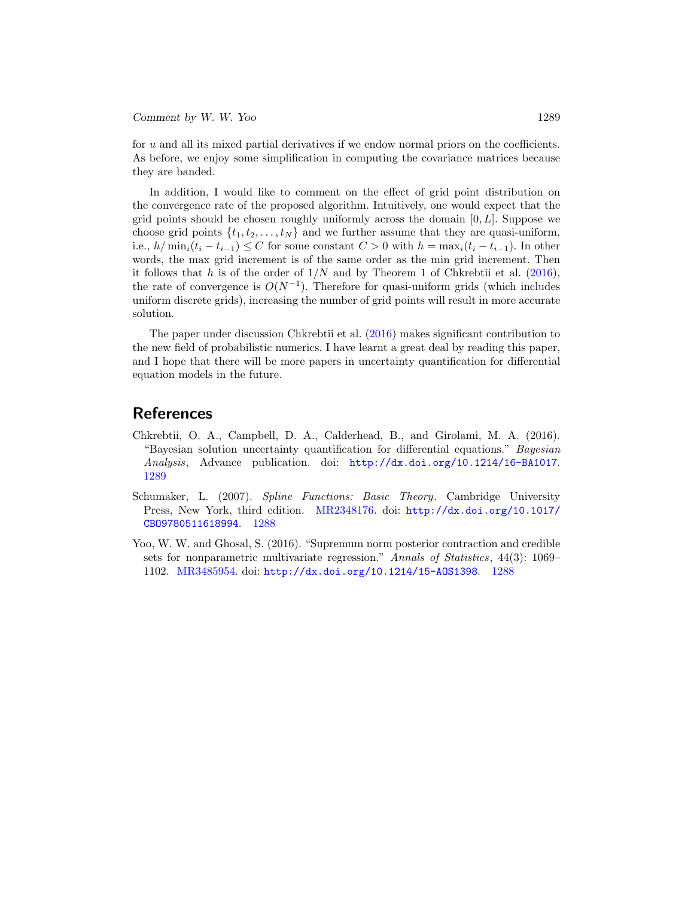*Comment by W. W. Yoo* 1289

for u and all its mixed partial derivatives if we endow normal priors on the coefficients. As before, we enjoy some simplification in computing the covariance matrices because they are banded.

In addition, I would like to comment on the effect of grid point distribution on the convergence rate of the proposed algorithm. Intuitively, one would expect that the grid points should be chosen roughly uniformly across the domain  $[0, L]$ . Suppose we choose grid points  $\{t_1, t_2, \ldots, t_N\}$  and we further assume that they are quasi-uniform, i.e.,  $h/\min_i(t_i - t_{i-1}) \leq C$  for some constant  $C > 0$  with  $h = \max_i(t_i - t_{i-1})$ . In other words, the max grid increment is of the same order as the min grid increment. Then it follows that h is of the order of  $1/N$  and by Theorem 1 of Chkrebtii et al. (2016), the rate of convergence is  $O(N^{-1})$ . Therefore for quasi-uniform grids (which includes uniform discrete grids), increasing the number of grid points will result in more accurate solution.

The paper under discussion Chkrebtii et al. (2016) makes significant contribution to the new field of probabilistic numerics. I have learnt a great deal by reading this paper, and I hope that there will be more papers in uncertainty quantification for differential equation models in the future.

- Chkrebtii, O. A., Campbell, D. A., Calderhead, B., and Girolami, M. A. (2016). "Bayesian solution uncertainty quantification for differential equations." Bayesian Analysis, Advance publication. doi: <http://dx.doi.org/10.1214/16-BA1017>. 1289
- Schumaker, L. (2007). Spline Functions: Basic Theory. Cambridge University Press, New York, third edition. [MR2348176.](http://www.ams.org/mathscinet-getitem?mr=2348176) doi: [http://dx.doi.org/10.1017/](http://dx.doi.org/10.1017/CBO9780511618994) [CBO9780511618994](http://dx.doi.org/10.1017/CBO9780511618994). 1288
- Yoo, W. W. and Ghosal, S. (2016). "Supremum norm posterior contraction and credible sets for nonparametric multivariate regression." Annals of Statistics, 44(3): 1069– 1102. [MR3485954.](http://www.ams.org/mathscinet-getitem?mr=3485954) doi: <http://dx.doi.org/10.1214/15-AOS1398>. 1288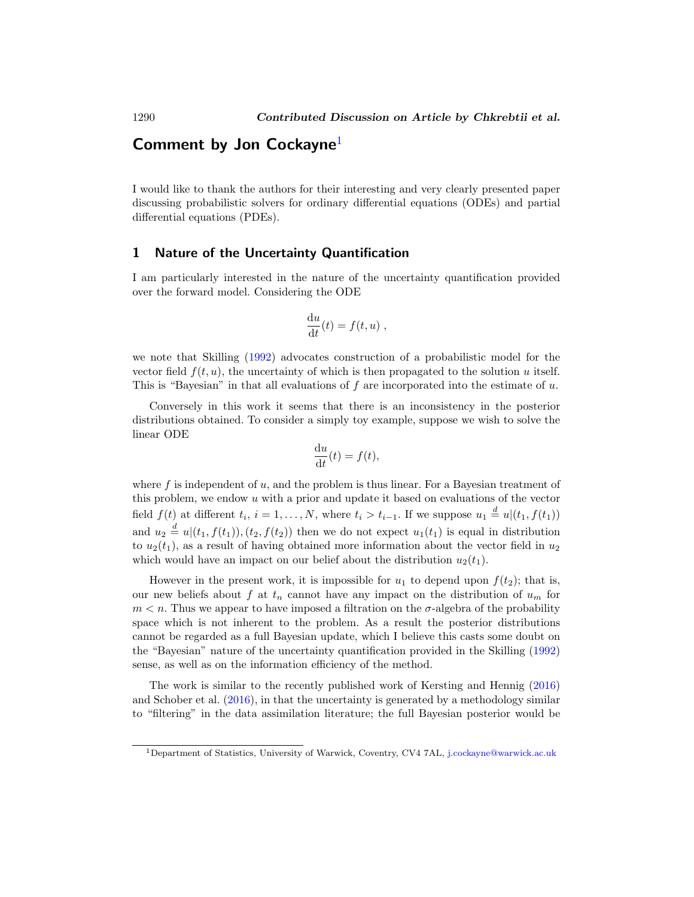## **Comment by Jon Cockayne**<sup>1</sup>

I would like to thank the authors for their interesting and very clearly presented paper discussing probabilistic solvers for ordinary differential equations (ODEs) and partial differential equations (PDEs).

#### **1 Nature of the Uncertainty Quantification**

I am particularly interested in the nature of the uncertainty quantification provided over the forward model. Considering the ODE

$$
\frac{\mathrm{d}u}{\mathrm{d}t}(t) = f(t, u) ,
$$

we note that Skilling (1992) advocates construction of a probabilistic model for the vector field  $f(t, u)$ , the uncertainty of which is then propagated to the solution u itself. This is "Bayesian" in that all evaluations of  $f$  are incorporated into the estimate of  $u$ .

Conversely in this work it seems that there is an inconsistency in the posterior distributions obtained. To consider a simply toy example, suppose we wish to solve the linear ODE

$$
\frac{\mathrm{d}u}{\mathrm{d}t}(t) = f(t),
$$

where f is independent of u, and the problem is thus linear. For a Bayesian treatment of this problem, we endow  $u$  with a prior and update it based on evaluations of the vector field  $f(t)$  at different  $t_i$ ,  $i = 1, ..., N$ , where  $t_i > t_{i-1}$ . If we suppose  $u_1 \stackrel{d}{=} u|(t_1, f(t_1))$ and  $u_2 \stackrel{d}{=} u|(t_1, f(t_1)), (t_2, f(t_2))$  then we do not expect  $u_1(t_1)$  is equal in distribution to  $u_2(t_1)$ , as a result of having obtained more information about the vector field in  $u_2$ which would have an impact on our belief about the distribution  $u_2(t_1)$ .

However in the present work, it is impossible for  $u_1$  to depend upon  $f(t_2)$ ; that is, our new beliefs about f at  $t_n$  cannot have any impact on the distribution of  $u_m$  for  $m < n$ . Thus we appear to have imposed a filtration on the  $\sigma$ -algebra of the probability space which is not inherent to the problem. As a result the posterior distributions cannot be regarded as a full Bayesian update, which I believe this casts some doubt on the "Bayesian" nature of the uncertainty quantification provided in the Skilling (1992) sense, as well as on the information efficiency of the method.

The work is similar to the recently published work of Kersting and Hennig (2016) and Schober et al. (2016), in that the uncertainty is generated by a methodology similar to "filtering" in the data assimilation literature; the full Bayesian posterior would be

<sup>1</sup>Department of Statistics, University of Warwick, Coventry, CV4 7AL, [j.cockayne@warwick.ac.uk](mailto:j.cockayne@warwick.ac.uk)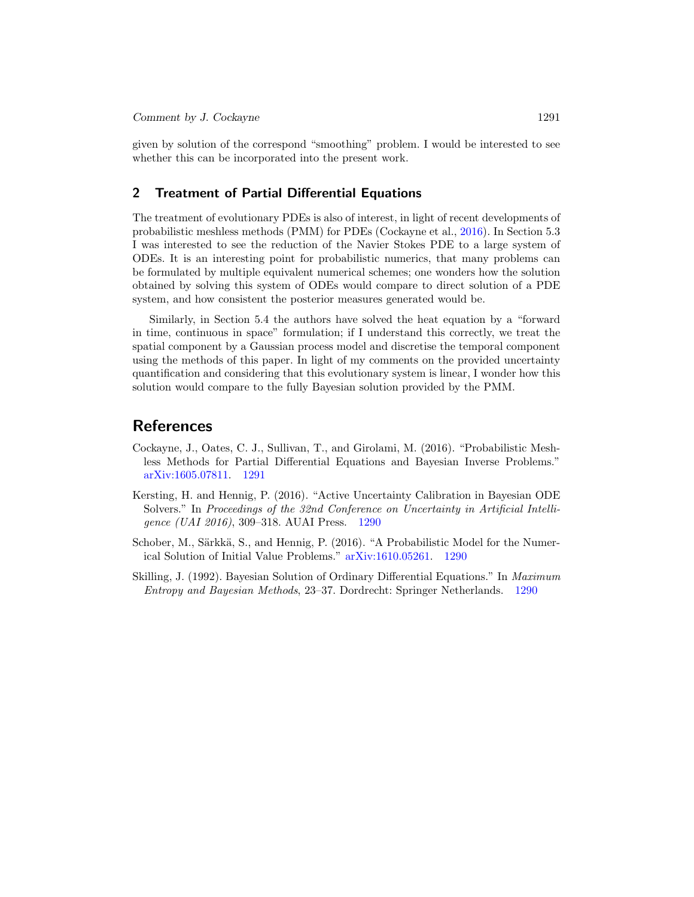given by solution of the correspond "smoothing" problem. I would be interested to see whether this can be incorporated into the present work.

#### **2 Treatment of Partial Differential Equations**

The treatment of evolutionary PDEs is also of interest, in light of recent developments of probabilistic meshless methods (PMM) for PDEs (Cockayne et al., 2016). In Section 5.3 I was interested to see the reduction of the Navier Stokes PDE to a large system of ODEs. It is an interesting point for probabilistic numerics, that many problems can be formulated by multiple equivalent numerical schemes; one wonders how the solution obtained by solving this system of ODEs would compare to direct solution of a PDE system, and how consistent the posterior measures generated would be.

Similarly, in Section 5.4 the authors have solved the heat equation by a "forward in time, continuous in space" formulation; if I understand this correctly, we treat the spatial component by a Gaussian process model and discretise the temporal component using the methods of this paper. In light of my comments on the provided uncertainty quantification and considering that this evolutionary system is linear, I wonder how this solution would compare to the fully Bayesian solution provided by the PMM.

- Cockayne, J., Oates, C. J., Sullivan, T., and Girolami, M. (2016). "Probabilistic Meshless Methods for Partial Differential Equations and Bayesian Inverse Problems." [arXiv:1605.07811.](http://arxiv.org/abs/arXiv:1605.07811) 1291
- Kersting, H. and Hennig, P. (2016). "Active Uncertainty Calibration in Bayesian ODE Solvers." In Proceedings of the 32nd Conference on Uncertainty in Artificial Intelligence (UAI 2016), 309–318. AUAI Press. 1290
- Schober, M., Särkkä, S., and Hennig, P. (2016). "A Probabilistic Model for the Numerical Solution of Initial Value Problems." [arXiv:1610.05261.](http://arxiv.org/abs/arXiv:1610.05261) 1290
- Skilling, J. (1992). Bayesian Solution of Ordinary Differential Equations." In Maximum Entropy and Bayesian Methods, 23–37. Dordrecht: Springer Netherlands. 1290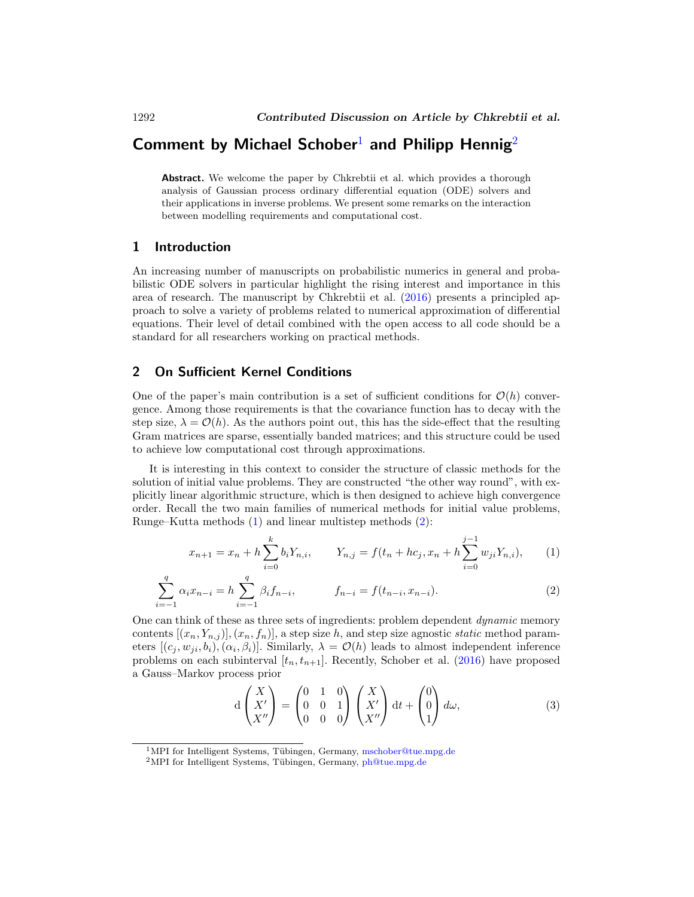# **Comment by Michael Schober**<sup>1</sup> **and Philipp Hennig**<sup>2</sup>

**Abstract.** We welcome the paper by Chkrebtii et al. which provides a thorough analysis of Gaussian process ordinary differential equation (ODE) solvers and their applications in inverse problems. We present some remarks on the interaction between modelling requirements and computational cost.

#### **1 Introduction**

An increasing number of manuscripts on probabilistic numerics in general and probabilistic ODE solvers in particular highlight the rising interest and importance in this area of research. The manuscript by Chkrebtii et al. (2016) presents a principled approach to solve a variety of problems related to numerical approximation of differential equations. Their level of detail combined with the open access to all code should be a standard for all researchers working on practical methods.

#### **2 On Sufficient Kernel Conditions**

One of the paper's main contribution is a set of sufficient conditions for  $\mathcal{O}(h)$  convergence. Among those requirements is that the covariance function has to decay with the step size,  $\lambda = \mathcal{O}(h)$ . As the authors point out, this has the side-effect that the resulting Gram matrices are sparse, essentially banded matrices; and this structure could be used to achieve low computational cost through approximations.

It is interesting in this context to consider the structure of classic methods for the solution of initial value problems. They are constructed "the other way round", with explicitly linear algorithmic structure, which is then designed to achieve high convergence order. Recall the two main families of numerical methods for initial value problems, Runge–Kutta methods (1) and linear multistep methods (2):

$$
x_{n+1} = x_n + h \sum_{i=0}^k b_i Y_{n,i}, \qquad Y_{n,j} = f(t_n + h c_j, x_n + h \sum_{i=0}^{j-1} w_{ji} Y_{n,i}), \qquad (1)
$$

$$
\sum_{i=-1}^{q} \alpha_i x_{n-i} = h \sum_{i=-1}^{q} \beta_i f_{n-i}, \qquad f_{n-i} = f(t_{n-i}, x_{n-i}). \tag{2}
$$

One can think of these as three sets of ingredients: problem dependent dynamic memory contents  $[(x_n, Y_{n,j})], (x_n, f_n)]$ , a step size h, and step size agnostic *static* method parameters  $[(c_j, w_{ji}, b_i), (\alpha_i, \beta_i)]$ . Similarly,  $\lambda = \mathcal{O}(h)$  leads to almost independent inference problems on each subinterval  $[t_n, t_{n+1}]$ . Recently, Schober et al. (2016) have proposed a Gauss–Markov process prior

$$
d\begin{pmatrix} X \\ X' \\ X'' \end{pmatrix} = \begin{pmatrix} 0 & 1 & 0 \\ 0 & 0 & 1 \\ 0 & 0 & 0 \end{pmatrix} \begin{pmatrix} X \\ X' \\ X'' \end{pmatrix} dt + \begin{pmatrix} 0 \\ 0 \\ 1 \end{pmatrix} d\omega, \tag{3}
$$

<sup>&</sup>lt;sup>1</sup>MPI for Intelligent Systems, Tübingen, Germany, [mschober@tue.mpg.de](mailto:mschober@tue.mpg.de)

 $2$ MPI for Intelligent Systems, Tübingen, Germany, [ph@tue.mpg.de](mailto:ph@tue.mpg.de)